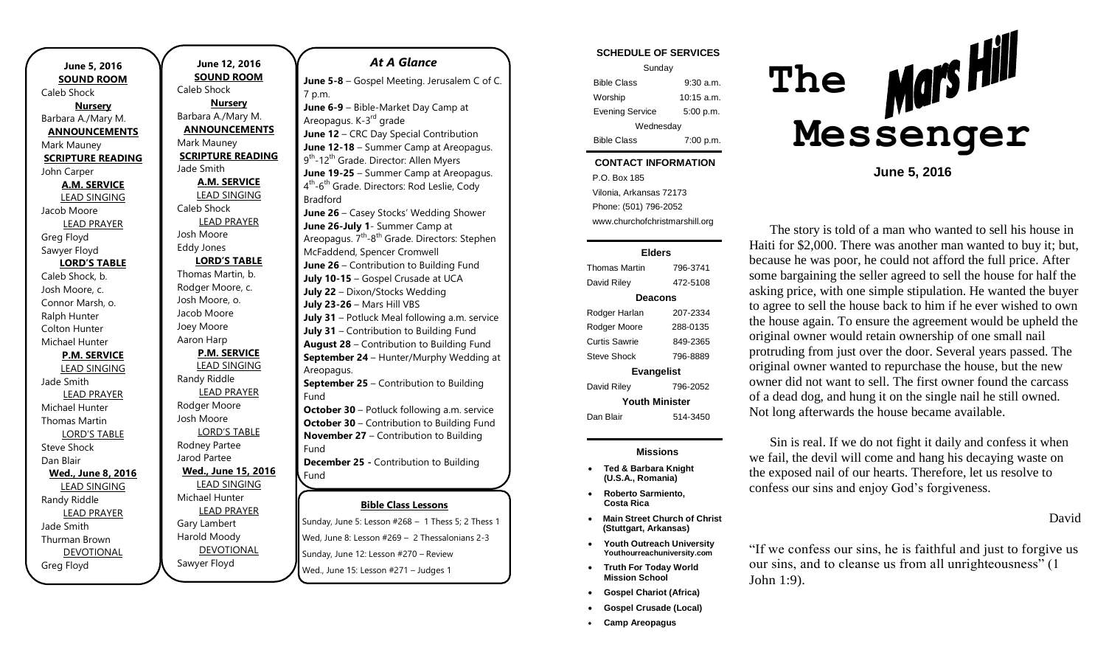| June 5, 2016             |  |  |
|--------------------------|--|--|
| <b>SOUND ROOM</b>        |  |  |
| <b>Caleb Shock</b>       |  |  |
| <b>Nursery</b>           |  |  |
| Barbara A./Mary M.       |  |  |
| <b>ANNOUNCEMENTS</b>     |  |  |
| Mark Mauney              |  |  |
| <b>SCRIPTURE READING</b> |  |  |
| John Carper              |  |  |
| <b>A.M. SERVICE</b>      |  |  |
| <b>LEAD SINGING</b>      |  |  |
| Jacob Moore              |  |  |
| <b>LEAD PRAYER</b>       |  |  |
| Greg Floyd               |  |  |
| Sawyer Floyd             |  |  |
| <b>LORD'S TABLE</b>      |  |  |
| Caleb Shock, b.          |  |  |
| Josh Moore, c.           |  |  |
| Connor Marsh, o.         |  |  |
| Ralph Hunter             |  |  |
| <b>Colton Hunter</b>     |  |  |
| Michael Hunter           |  |  |
| <b>P.M. SERVICE</b>      |  |  |
| <b>LEAD SINGING</b>      |  |  |
| Jade Smith               |  |  |
| <b>LEAD PRAYER</b>       |  |  |
| Michael Hunter           |  |  |
| Thomas Martin            |  |  |
| <b>LORD'S TABLE</b>      |  |  |
| Steve Shock              |  |  |
| Dan Blair                |  |  |
| Wed., June 8, 2016       |  |  |
| <b>LEAD SINGING</b>      |  |  |
| Randy Riddle             |  |  |
| <b>LEAD PRAYER</b>       |  |  |
| Jade Smith               |  |  |
| Thurman Brown            |  |  |
| <b>DEVOTIONAL</b>        |  |  |
| Greg Floyd               |  |  |

**June 12, 2016 SOUND ROOM** Caleb Shock **Nursery** Barbara A./Mary M. **ANNOUNCEMENTS** Mark Mauney **SCRIPTURE READING** Jade Smith **A.M. SERVICE** LEAD SINGING Caleb Shock LEAD PRAYER Josh Moore Eddy Jones **LORD'S TABLE** Thomas Martin, b. Rodger Moore, c. Josh Moore, o. Jacob Moore Joey Moore Aaron Harp **P.M. SERVICE** LEAD SINGING Randy Riddle LEAD PRAYER Rodger Moore Josh Moore LORD'S TABLE Rodney Partee Jarod Partee **Wed., June 15, 2016** LEAD SINGING Michael Hunter LEAD PRAYER Gary Lambert Harold Moody DEVOTIONAL

Sawyer Floyd

# **Bible Class Lessons** *At A Glance*  **June 5-8** – Gospel Meeting. Jerusalem C of C. 7 p.m. **June 6-9** – Bible-Market Day Camp at Areopagus. K-3<sup>rd</sup> grade **June 12** – CRC Day Special Contribution **June 12-18** – Summer Camp at Areopagus. 9<sup>th</sup>-12<sup>th</sup> Grade. Director: Allen Myers **June 19-25** – Summer Camp at Areopagus. 4<sup>th</sup>-6<sup>th</sup> Grade. Directors: Rod Leslie, Cody Bradford **June 26** – Casey Stocks' Wedding Shower **June 26-July 1**- Summer Camp at Areopagus. 7<sup>th</sup>-8<sup>th</sup> Grade. Directors: Stephen McFaddend, Spencer Cromwell **June 26** – Contribution to Building Fund **July 10-15** – Gospel Crusade at UCA **July 22** – Dixon/Stocks Wedding **July 23-26** – Mars Hill VBS **July 31** – Potluck Meal following a.m. service **July 31** – Contribution to Building Fund **August 28** – Contribution to Building Fund **September 24** – Hunter/Murphy Wedding at Areopagus. **September 25** – Contribution to Building Fund **October 30** – Potluck following a.m. service **October 30** – Contribution to Building Fund **November 27** – Contribution to Building Fund **December 25 -** Contribution to Building Fund

Sunday, June 5: Lesson #268 – 1 Thess 5; 2 Thess 1 Wed, June 8: Lesson #269 – 2 Thessalonians 2-3 Sunday, June 12: Lesson #270 – Review Wed., June 15: Lesson #271 – Judges 1

#### **SCHEDULE OF SERVICES**

| Sunday                 |            |  |
|------------------------|------------|--|
| <b>Bible Class</b>     | 9:30a.m.   |  |
| Worship                | 10:15 a.m. |  |
| <b>Evening Service</b> | 5:00 p.m.  |  |
| Wednesday              |            |  |
| <b>Bible Class</b>     | 7:00 p.m.  |  |

#### Tuesday **CONTACT INFORMATION**

 $\mathcal{L}$ . Dex Foo a.m. Vilonia, Arkansas 72173 P.O. Box 185 Phone: (501) 796-2052 www.churchofchristmarshill.org

#### **Elders**

| Thomas Martin         | 796-3741 |  |
|-----------------------|----------|--|
| David Riley           | 472-5108 |  |
| Deacons               |          |  |
| Rodger Harlan         | 207-2334 |  |
| Rodger Moore          | 288-0135 |  |
| Curtis Sawrie         | 849-2365 |  |
| Steve Shock           | 796-8889 |  |
| <b>Evangelist</b>     |          |  |
| David Riley           | 796-2052 |  |
| <b>Youth Minister</b> |          |  |
| Dan Blair             | 514-3450 |  |
|                       |          |  |

### **Missions**

- **Ted & Barbara Knight (U.S.A., Romania)**
- **Roberto Sarmiento, Costa Rica**
- **Main Street Church of Christ (Stuttgart, Arkansas)**
- **Youth Outreach University Youthourreachuniversity.com**
- **Truth For Today World Mission School**
- **Gospel Chariot (Africa)**
- **Gospel Crusade (Local)**
- **Camp Areopagus**



**June 5, 2016**

The story is told of a man who wanted to sell his house in Haiti for \$2,000. There was another man wanted to buy it; but, because he was poor, he could not afford the full price. After some bargaining the seller agreed to sell the house for half the asking price, with one simple stipulation. He wanted the buyer to agree to sell the house back to him if he ever wished to own the house again. To ensure the agreement would be upheld the original owner would retain ownership of one small nail protruding from just over the door. Several years passed. The original owner wanted to repurchase the house, but the new owner did not want to sell. The first owner found the carcass of a dead dog, and hung it on the single nail he still owned. Not long afterwards the house became available.

Sin is real. If we do not fight it daily and confess it when we fail, the devil will come and hang his decaying waste on the exposed nail of our hearts. Therefore, let us resolve to confess our sins and enjoy God's forgiveness.

## David

"If we confess our sins, he is faithful and just to forgive us our sins, and to cleanse us from all unrighteousness" (1 John 1:9).